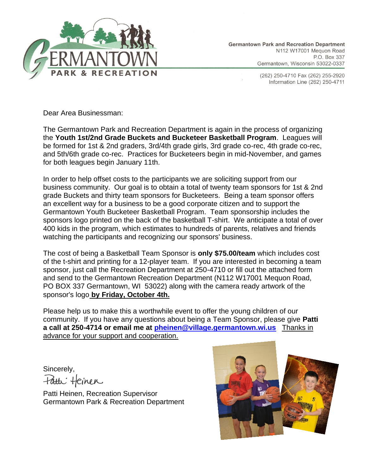

(262) 250-4710 Fax (262) 255-2920 Information Line (262) 250-4711

Dear Area Businessman:

The Germantown Park and Recreation Department is again in the process of organizing the **Youth 1st/2nd Grade Buckets and Bucketeer Basketball Program**. Leagues will be formed for 1st & 2nd graders, 3rd/4th grade girls, 3rd grade co-rec, 4th grade co-rec, and 5th/6th grade co-rec. Practices for Bucketeers begin in mid-November, and games for both leagues begin January 11th.

In order to help offset costs to the participants we are soliciting support from our business community. Our goal is to obtain a total of twenty team sponsors for 1st & 2nd grade Buckets and thirty team sponsors for Bucketeers. Being a team sponsor offers an excellent way for a business to be a good corporate citizen and to support the Germantown Youth Bucketeer Basketball Program. Team sponsorship includes the sponsors logo printed on the back of the basketball T-shirt. We anticipate a total of over 400 kids in the program, which estimates to hundreds of parents, relatives and friends watching the participants and recognizing our sponsors' business.

The cost of being a Basketball Team Sponsor is **only \$75.00/team** which includes cost of the t-shirt and printing for a 12-player team. If you are interested in becoming a team sponsor, just call the Recreation Department at 250-4710 or fill out the attached form and send to the Germantown Recreation Department (N112 W17001 Mequon Road, PO BOX 337 Germantown, WI 53022) along with the camera ready artwork of the sponsor's logo **by Friday, October 4th.**

Please help us to make this a worthwhile event to offer the young children of our community. If you have any questions about being a Team Sponsor, please give **Patti a call at 250-4714 or email me at [pheinen@village.germantown.wi.us](mailto:pheinen@village.germantown.wi.us)** Thanks in advance for your support and cooperation.

Sincerely, Fatti Heinen

Patti Heinen, Recreation Supervisor Germantown Park & Recreation Department